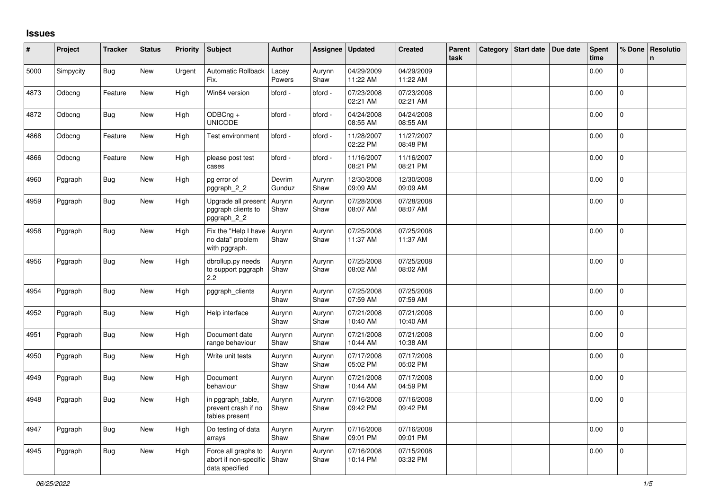## **Issues**

| #    | Project   | <b>Tracker</b> | <b>Status</b> | Priority | Subject                                                        | <b>Author</b>    | Assignee       | <b>Updated</b>         | <b>Created</b>         | Parent<br>task | Category   Start date   Due date | Spent<br>time | % Done       | Resolutio<br>n. |
|------|-----------|----------------|---------------|----------|----------------------------------------------------------------|------------------|----------------|------------------------|------------------------|----------------|----------------------------------|---------------|--------------|-----------------|
| 5000 | Simpycity | <b>Bug</b>     | New           | Urgent   | Automatic Rollback<br>Fix.                                     | Lacey<br>Powers  | Aurynn<br>Shaw | 04/29/2009<br>11:22 AM | 04/29/2009<br>11:22 AM |                |                                  | 0.00          | $\Omega$     |                 |
| 4873 | Odbcng    | Feature        | New           | High     | Win64 version                                                  | bford -          | bford -        | 07/23/2008<br>02:21 AM | 07/23/2008<br>02:21 AM |                |                                  | 0.00          | $\pmb{0}$    |                 |
| 4872 | Odbcng    | Bug            | New           | High     | ODBCng +<br><b>UNICODE</b>                                     | bford -          | bford -        | 04/24/2008<br>08:55 AM | 04/24/2008<br>08:55 AM |                |                                  | 0.00          | 0            |                 |
| 4868 | Odbcng    | Feature        | New           | High     | Test environment                                               | bford -          | bford -        | 11/28/2007<br>02:22 PM | 11/27/2007<br>08:48 PM |                |                                  | 0.00          | $\mathbf{0}$ |                 |
| 4866 | Odbcng    | Feature        | New           | High     | please post test<br>cases                                      | bford -          | bford -        | 11/16/2007<br>08:21 PM | 11/16/2007<br>08:21 PM |                |                                  | 0.00          | 0            |                 |
| 4960 | Pggraph   | Bug            | New           | High     | pg error of<br>pggraph_2_2                                     | Devrim<br>Gunduz | Aurynn<br>Shaw | 12/30/2008<br>09:09 AM | 12/30/2008<br>09:09 AM |                |                                  | 0.00          | $\pmb{0}$    |                 |
| 4959 | Pggraph   | Bug            | New           | High     | Upgrade all present<br>pggraph clients to<br>pggraph_2_2       | Aurynn<br>Shaw   | Aurynn<br>Shaw | 07/28/2008<br>08:07 AM | 07/28/2008<br>08:07 AM |                |                                  | 0.00          | 0            |                 |
| 4958 | Pggraph   | <b>Bug</b>     | New           | High     | Fix the "Help I have<br>no data" problem<br>with pggraph.      | Aurynn<br>Shaw   | Aurynn<br>Shaw | 07/25/2008<br>11:37 AM | 07/25/2008<br>11:37 AM |                |                                  | 0.00          | $\mathbf 0$  |                 |
| 4956 | Pggraph   | Bug            | New           | High     | dbrollup.py needs<br>to support pggraph<br>2.2                 | Aurynn<br>Shaw   | Aurynn<br>Shaw | 07/25/2008<br>08:02 AM | 07/25/2008<br>08:02 AM |                |                                  | 0.00          | $\mathbf 0$  |                 |
| 4954 | Pggraph   | Bug            | New           | High     | pggraph_clients                                                | Aurynn<br>Shaw   | Aurynn<br>Shaw | 07/25/2008<br>07:59 AM | 07/25/2008<br>07:59 AM |                |                                  | 0.00          | $\Omega$     |                 |
| 4952 | Pggraph   | Bug            | New           | High     | Help interface                                                 | Aurynn<br>Shaw   | Aurynn<br>Shaw | 07/21/2008<br>10:40 AM | 07/21/2008<br>10:40 AM |                |                                  | 0.00          | $\Omega$     |                 |
| 4951 | Pggraph   | <b>Bug</b>     | New           | High     | Document date<br>range behaviour                               | Aurynn<br>Shaw   | Aurynn<br>Shaw | 07/21/2008<br>10:44 AM | 07/21/2008<br>10:38 AM |                |                                  | 0.00          | $\pmb{0}$    |                 |
| 4950 | Pggraph   | Bug            | New           | High     | Write unit tests                                               | Aurynn<br>Shaw   | Aurynn<br>Shaw | 07/17/2008<br>05:02 PM | 07/17/2008<br>05:02 PM |                |                                  | 0.00          | $\mathsf{O}$ |                 |
| 4949 | Pggraph   | <b>Bug</b>     | New           | High     | Document<br>behaviour                                          | Aurynn<br>Shaw   | Aurynn<br>Shaw | 07/21/2008<br>10:44 AM | 07/17/2008<br>04:59 PM |                |                                  | 0.00          | $\mathbf{0}$ |                 |
| 4948 | Pggraph   | <b>Bug</b>     | <b>New</b>    | High     | in pggraph_table,<br>prevent crash if no<br>tables present     | Aurynn<br>Shaw   | Aurynn<br>Shaw | 07/16/2008<br>09:42 PM | 07/16/2008<br>09:42 PM |                |                                  | 0.00          | 0            |                 |
| 4947 | Pggraph   | Bug            | New           | High     | Do testing of data<br>arrays                                   | Aurynn<br>Shaw   | Aurynn<br>Shaw | 07/16/2008<br>09:01 PM | 07/16/2008<br>09:01 PM |                |                                  | 0.00          | $\mathbf 0$  |                 |
| 4945 | Pggraph   | Bug            | New           | High     | Force all graphs to<br>abort if non-specific<br>data specified | Aurynn<br>Shaw   | Aurynn<br>Shaw | 07/16/2008<br>10:14 PM | 07/15/2008<br>03:32 PM |                |                                  | 0.00          | 0            |                 |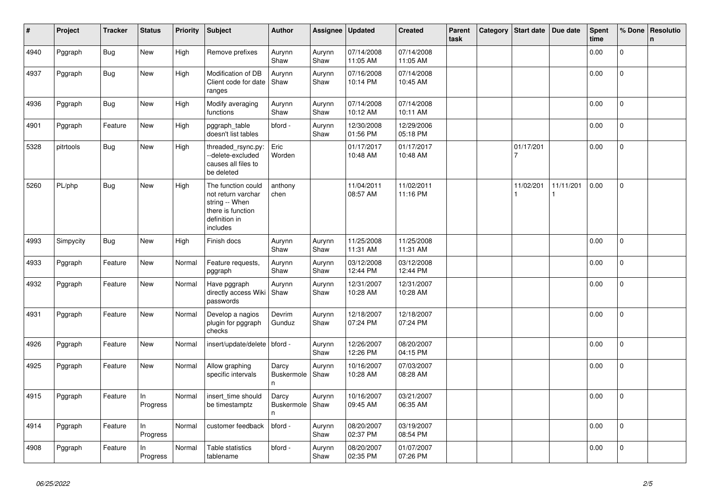| $\vert$ # | Project   | <b>Tracker</b> | <b>Status</b>  | <b>Priority</b> | Subject                                                                                                      | <b>Author</b>                   | Assignee       | <b>Updated</b>         | <b>Created</b>         | Parent<br>task | Category | Start date     | Due date  | <b>Spent</b><br>time | % Done         | Resolutio<br>$\mathsf{n}$ |
|-----------|-----------|----------------|----------------|-----------------|--------------------------------------------------------------------------------------------------------------|---------------------------------|----------------|------------------------|------------------------|----------------|----------|----------------|-----------|----------------------|----------------|---------------------------|
| 4940      | Pggraph   | <b>Bug</b>     | <b>New</b>     | High            | Remove prefixes                                                                                              | Aurynn<br>Shaw                  | Aurynn<br>Shaw | 07/14/2008<br>11:05 AM | 07/14/2008<br>11:05 AM |                |          |                |           | 0.00                 | $\Omega$       |                           |
| 4937      | Pggraph   | Bug            | New            | High            | Modification of DB<br>Client code for date<br>ranges                                                         | Aurynn<br>Shaw                  | Aurynn<br>Shaw | 07/16/2008<br>10:14 PM | 07/14/2008<br>10:45 AM |                |          |                |           | 0.00                 | 0              |                           |
| 4936      | Pggraph   | Bug            | New            | High            | Modify averaging<br>functions                                                                                | Aurynn<br>Shaw                  | Aurynn<br>Shaw | 07/14/2008<br>10:12 AM | 07/14/2008<br>10:11 AM |                |          |                |           | 0.00                 | $\mathbf 0$    |                           |
| 4901      | Pggraph   | Feature        | New            | High            | pggraph_table<br>doesn't list tables                                                                         | bford -                         | Aurynn<br>Shaw | 12/30/2008<br>01:56 PM | 12/29/2006<br>05:18 PM |                |          |                |           | 0.00                 | $\Omega$       |                           |
| 5328      | pitrtools | Bug            | New            | High            | threaded_rsync.py:<br>--delete-excluded<br>causes all files to<br>be deleted                                 | Eric<br>Worden                  |                | 01/17/2017<br>10:48 AM | 01/17/2017<br>10:48 AM |                |          | 01/17/201      |           | 0.00                 | 0              |                           |
| 5260      | PL/php    | Bug            | New            | High            | The function could<br>not return varchar<br>string -- When<br>there is function<br>definition in<br>includes | anthony<br>chen                 |                | 11/04/2011<br>08:57 AM | 11/02/2011<br>11:16 PM |                |          | 11/02/201<br>1 | 11/11/201 | 0.00                 | $\mathbf 0$    |                           |
| 4993      | Simpycity | <b>Bug</b>     | New            | High            | Finish docs                                                                                                  | Aurynn<br>Shaw                  | Aurynn<br>Shaw | 11/25/2008<br>11:31 AM | 11/25/2008<br>11:31 AM |                |          |                |           | 0.00                 | 0              |                           |
| 4933      | Pggraph   | Feature        | <b>New</b>     | Normal          | Feature requests,<br>pggraph                                                                                 | Aurynn<br>Shaw                  | Aurynn<br>Shaw | 03/12/2008<br>12:44 PM | 03/12/2008<br>12:44 PM |                |          |                |           | 0.00                 | $\mathbf{0}$   |                           |
| 4932      | Pggraph   | Feature        | New            | Normal          | Have pggraph<br>directly access Wiki<br>passwords                                                            | Aurynn<br>Shaw                  | Aurynn<br>Shaw | 12/31/2007<br>10:28 AM | 12/31/2007<br>10:28 AM |                |          |                |           | 0.00                 | $\overline{0}$ |                           |
| 4931      | Pggraph   | Feature        | New            | Normal          | Develop a nagios<br>plugin for pggraph<br>checks                                                             | Devrim<br>Gunduz                | Aurynn<br>Shaw | 12/18/2007<br>07:24 PM | 12/18/2007<br>07:24 PM |                |          |                |           | 0.00                 | $\mathbf 0$    |                           |
| 4926      | Pggraph   | Feature        | New            | Normal          | insert/update/delete                                                                                         | bford -                         | Aurynn<br>Shaw | 12/26/2007<br>12:26 PM | 08/20/2007<br>04:15 PM |                |          |                |           | 0.00                 | $\mathbf 0$    |                           |
| 4925      | Pggraph   | Feature        | New            | Normal          | Allow graphing<br>specific intervals                                                                         | Darcy<br><b>Buskermole</b><br>n | Aurynn<br>Shaw | 10/16/2007<br>10:28 AM | 07/03/2007<br>08:28 AM |                |          |                |           | 0.00                 | $\Omega$       |                           |
| 4915      | Pggraph   | Feature        | In<br>Progress | Normal          | insert_time should<br>be timestamptz                                                                         | Darcy<br>Buskermole<br>n.       | Aurynn<br>Shaw | 10/16/2007<br>09:45 AM | 03/21/2007<br>06:35 AM |                |          |                |           | 0.00                 | 0              |                           |
| 4914      | Pggraph   | Feature        | In<br>Progress | Normal          | customer feedback                                                                                            | bford -                         | Aurynn<br>Shaw | 08/20/2007<br>02:37 PM | 03/19/2007<br>08:54 PM |                |          |                |           | 0.00                 | $\mathbf 0$    |                           |
| 4908      | Pggraph   | Feature        | In<br>Progress | Normal          | Table statistics<br>tablename                                                                                | bford -                         | Aurynn<br>Shaw | 08/20/2007<br>02:35 PM | 01/07/2007<br>07:26 PM |                |          |                |           | 0.00                 | 0              |                           |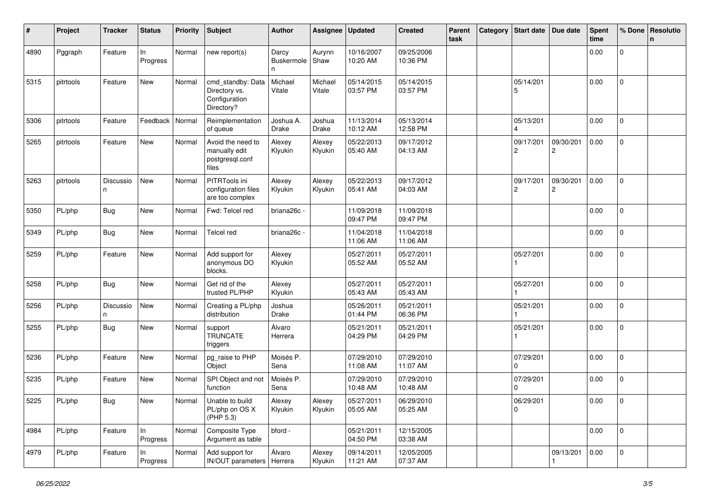| #    | Project   | <b>Tracker</b> | <b>Status</b>   | <b>Priority</b> | <b>Subject</b>                                                    | <b>Author</b>                    | Assignee          | <b>Updated</b>         | <b>Created</b>         | Parent<br>task | Category | <b>Start date</b>           | Due date       | <b>Spent</b><br>time | % Done              | Resolutio<br>n |
|------|-----------|----------------|-----------------|-----------------|-------------------------------------------------------------------|----------------------------------|-------------------|------------------------|------------------------|----------------|----------|-----------------------------|----------------|----------------------|---------------------|----------------|
| 4890 | Pggraph   | Feature        | ln.<br>Progress | Normal          | new report(s)                                                     | Darcy<br><b>Buskermole</b><br>n. | Aurynn<br>Shaw    | 10/16/2007<br>10:20 AM | 09/25/2006<br>10:36 PM |                |          |                             |                | 0.00                 | $\mathbf 0$         |                |
| 5315 | pitrtools | Feature        | New             | Normal          | cmd standby: Data<br>Directory vs.<br>Configuration<br>Directory? | Michael<br>Vitale                | Michael<br>Vitale | 05/14/2015<br>03:57 PM | 05/14/2015<br>03:57 PM |                |          | 05/14/201<br>5              |                | 0.00                 | $\mathbf{0}$        |                |
| 5306 | pitrtools | Feature        | Feedback        | Normal          | Reimplementation<br>of queue                                      | Joshua A.<br><b>Drake</b>        | Joshua<br>Drake   | 11/13/2014<br>10:12 AM | 05/13/2014<br>12:58 PM |                |          | 05/13/201                   |                | 0.00                 | $\mathbf 0$         |                |
| 5265 | pitrtools | Feature        | New             | Normal          | Avoid the need to<br>manually edit<br>postgresql.conf<br>files    | Alexey<br>Klyukin                | Alexey<br>Klyukin | 05/22/2013<br>05:40 AM | 09/17/2012<br>04:13 AM |                |          | 09/17/201<br>$\overline{c}$ | 09/30/201<br>2 | 0.00                 | $\mathbf 0$         |                |
| 5263 | pitrtools | Discussio<br>n | New             | Normal          | PITRTools ini<br>configuration files<br>are too complex           | Alexey<br>Klyukin                | Alexey<br>Klyukin | 05/22/2013<br>05:41 AM | 09/17/2012<br>04:03 AM |                |          | 09/17/201<br>2              | 09/30/201<br>2 | 0.00                 | $\mathbf{0}$        |                |
| 5350 | PL/php    | <b>Bug</b>     | New             | Normal          | Fwd: Telcel red                                                   | briana26c -                      |                   | 11/09/2018<br>09:47 PM | 11/09/2018<br>09:47 PM |                |          |                             |                | 0.00                 | $\mathbf{0}$        |                |
| 5349 | PL/php    | <b>Bug</b>     | New             | Normal          | <b>Telcel red</b>                                                 | briana26c -                      |                   | 11/04/2018<br>11:06 AM | 11/04/2018<br>11:06 AM |                |          |                             |                | 0.00                 | $\mathbf 0$         |                |
| 5259 | PL/php    | Feature        | New             | Normal          | Add support for<br>anonymous DO<br>blocks.                        | Alexey<br>Klyukin                |                   | 05/27/2011<br>05:52 AM | 05/27/2011<br>05:52 AM |                |          | 05/27/201                   |                | 0.00                 | $\mathsf{O}\xspace$ |                |
| 5258 | PL/php    | <b>Bug</b>     | New             | Normal          | Get rid of the<br>trusted PL/PHP                                  | Alexey<br>Klyukin                |                   | 05/27/2011<br>05:43 AM | 05/27/2011<br>05:43 AM |                |          | 05/27/201                   |                | 0.00                 | $\mathbf{0}$        |                |
| 5256 | PL/php    | Discussio<br>n | New             | Normal          | Creating a PL/php<br>distribution                                 | Joshua<br>Drake                  |                   | 05/26/2011<br>01:44 PM | 05/21/2011<br>06:36 PM |                |          | 05/21/201                   |                | 0.00                 | $\mathbf 0$         |                |
| 5255 | PL/php    | <b>Bug</b>     | New             | Normal          | support<br><b>TRUNCATE</b><br>triggers                            | Álvaro<br>Herrera                |                   | 05/21/2011<br>04:29 PM | 05/21/2011<br>04:29 PM |                |          | 05/21/201                   |                | 0.00                 | $\mathbf 0$         |                |
| 5236 | PL/php    | Feature        | New             | Normal          | pg_raise to PHP<br>Object                                         | Moisés P.<br>Sena                |                   | 07/29/2010<br>11:08 AM | 07/29/2010<br>11:07 AM |                |          | 07/29/201<br>$\Omega$       |                | 0.00                 | $\mathbf 0$         |                |
| 5235 | PL/php    | Feature        | New             | Normal          | SPI Object and not<br>function                                    | Moisés P.<br>Sena                |                   | 07/29/2010<br>10:48 AM | 07/29/2010<br>10:48 AM |                |          | 07/29/201<br>$\Omega$       |                | 0.00                 | 0                   |                |
| 5225 | PL/php    | <b>Bug</b>     | New             | Normal          | Unable to build<br>PL/php on OS X<br>(PHP 5.3)                    | Alexey<br>Klyukin                | Alexey<br>Klyukin | 05/27/2011<br>05:05 AM | 06/29/2010<br>05:25 AM |                |          | 06/29/201<br>$\mathbf 0$    |                | 0.00                 | 0                   |                |
| 4984 | PL/php    | Feature        | In<br>Progress  | Normal          | Composite Type<br>Argument as table                               | bford -                          |                   | 05/21/2011<br>04:50 PM | 12/15/2005<br>03:38 AM |                |          |                             |                | 0.00                 | $\overline{0}$      |                |
| 4979 | PL/php    | Feature        | In.<br>Progress | Normal          | Add support for<br>IN/OUT parameters   Herrera                    | Álvaro                           | Alexey<br>Klyukin | 09/14/2011<br>11:21 AM | 12/05/2005<br>07:37 AM |                |          |                             | 09/13/201      | 0.00                 | $\overline{0}$      |                |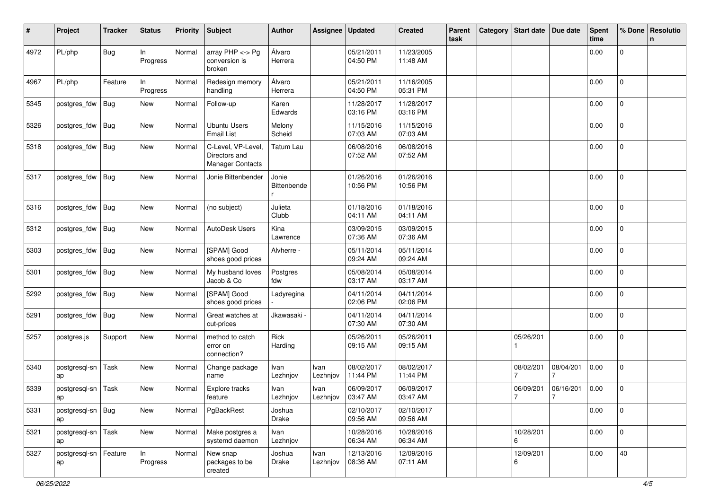| #    | Project                    | <b>Tracker</b> | <b>Status</b>  | <b>Priority</b> | <b>Subject</b>                                                 | <b>Author</b>        | Assignee         | <b>Updated</b>         | <b>Created</b>         | Parent<br>task | Category | <b>Start date</b> | Due date                    | <b>Spent</b><br>time | % Done       | Resolutio<br>n |
|------|----------------------------|----------------|----------------|-----------------|----------------------------------------------------------------|----------------------|------------------|------------------------|------------------------|----------------|----------|-------------------|-----------------------------|----------------------|--------------|----------------|
| 4972 | PL/php                     | <b>Bug</b>     | In<br>Progress | Normal          | array $PHP \lt\gt Pg$<br>conversion is<br>broken               | Álvaro<br>Herrera    |                  | 05/21/2011<br>04:50 PM | 11/23/2005<br>11:48 AM |                |          |                   |                             | 0.00                 | 0            |                |
| 4967 | PL/php                     | Feature        | In<br>Progress | Normal          | Redesign memory<br>handling                                    | Álvaro<br>Herrera    |                  | 05/21/2011<br>04:50 PM | 11/16/2005<br>05:31 PM |                |          |                   |                             | 0.00                 | $\mathbf 0$  |                |
| 5345 | postgres_fdw               | Bug            | New            | Normal          | Follow-up                                                      | Karen<br>Edwards     |                  | 11/28/2017<br>03:16 PM | 11/28/2017<br>03:16 PM |                |          |                   |                             | 0.00                 | $\mathbf 0$  |                |
| 5326 | postgres_fdw               | <b>Bug</b>     | New            | Normal          | <b>Ubuntu Users</b><br><b>Email List</b>                       | Melony<br>Scheid     |                  | 11/15/2016<br>07:03 AM | 11/15/2016<br>07:03 AM |                |          |                   |                             | 0.00                 | 0            |                |
| 5318 | postgres_fdw               | Bug            | New            | Normal          | C-Level, VP-Level,<br>Directors and<br><b>Manager Contacts</b> | Tatum Lau            |                  | 06/08/2016<br>07:52 AM | 06/08/2016<br>07:52 AM |                |          |                   |                             | 0.00                 | 0            |                |
| 5317 | postgres_fdw               | Bug            | New            | Normal          | Jonie Bittenbender                                             | Jonie<br>Bittenbende |                  | 01/26/2016<br>10:56 PM | 01/26/2016<br>10:56 PM |                |          |                   |                             | 0.00                 | $\mathbf 0$  |                |
| 5316 | postgres_fdw               | Bug            | New            | Normal          | (no subject)                                                   | Julieta<br>Clubb     |                  | 01/18/2016<br>04:11 AM | 01/18/2016<br>04:11 AM |                |          |                   |                             | 0.00                 | 0            |                |
| 5312 | postgres_fdw               | Bug            | New            | Normal          | AutoDesk Users                                                 | Kina<br>Lawrence     |                  | 03/09/2015<br>07:36 AM | 03/09/2015<br>07:36 AM |                |          |                   |                             | 0.00                 | $\mathbf 0$  |                |
| 5303 | postgres_fdw               | Bug            | New            | Normal          | [SPAM] Good<br>shoes good prices                               | Alvherre -           |                  | 05/11/2014<br>09:24 AM | 05/11/2014<br>09:24 AM |                |          |                   |                             | 0.00                 | $\mathbf 0$  |                |
| 5301 | postgres_fdw               | <b>Bug</b>     | New            | Normal          | My husband loves<br>Jacob & Co                                 | Postgres<br>fdw      |                  | 05/08/2014<br>03:17 AM | 05/08/2014<br>03:17 AM |                |          |                   |                             | 0.00                 | 0            |                |
| 5292 | postgres fdw               | Bug            | New            | Normal          | [SPAM] Good<br>shoes good prices                               | Ladyregina           |                  | 04/11/2014<br>02:06 PM | 04/11/2014<br>02:06 PM |                |          |                   |                             | 0.00                 | $\mathbf 0$  |                |
| 5291 | postgres_fdw               | <b>Bug</b>     | New            | Normal          | Great watches at<br>cut-prices                                 | Jkawasaki -          |                  | 04/11/2014<br>07:30 AM | 04/11/2014<br>07:30 AM |                |          |                   |                             | 0.00                 | 0            |                |
| 5257 | postgres.js                | Support        | New            | Normal          | method to catch<br>error on<br>connection?                     | Rick<br>Harding      |                  | 05/26/2011<br>09:15 AM | 05/26/2011<br>09:15 AM |                |          | 05/26/201         |                             | 0.00                 | 0            |                |
| 5340 | postgresql-sn<br>ap        | Task           | New            | Normal          | Change package<br>name                                         | Ivan<br>Lezhnjov     | Ivan<br>Lezhnjov | 08/02/2017<br>11:44 PM | 08/02/2017<br>11:44 PM |                |          | 08/02/201         | 08/04/201                   | 0.00                 | $\mathbf{0}$ |                |
| 5339 | postgresql-sn<br>ap        | Task           | New            | Normal          | Explore tracks<br>feature                                      | Ivan<br>Lezhnjov     | Ivan<br>Lezhnjov | 06/09/2017<br>03:47 AM | 06/09/2017<br>03:47 AM |                |          | 06/09/201<br>7    | 06/16/201<br>$\overline{7}$ | 0.00                 | 0            |                |
| 5331 | postgresql-sn   Bug<br>ap  |                | New            | Normal          | PgBackRest                                                     | Joshua<br>Drake      |                  | 02/10/2017<br>09:56 AM | 02/10/2017<br>09:56 AM |                |          |                   |                             | 0.00                 | $\mathsf 0$  |                |
| 5321 | postgresql-sn   Task<br>ap |                | New            | Normal          | Make postgres a<br>systemd daemon                              | Ivan<br>Lezhnjov     |                  | 10/28/2016<br>06:34 AM | 10/28/2016<br>06:34 AM |                |          | 10/28/201<br>6    |                             | 0.00                 | $\mathbf{0}$ |                |
| 5327 | postgresql-sn<br>ap        | Feature        | In<br>Progress | Normal          | New snap<br>packages to be<br>created                          | Joshua<br>Drake      | Ivan<br>Lezhnjov | 12/13/2016<br>08:36 AM | 12/09/2016<br>07:11 AM |                |          | 12/09/201<br>6    |                             | 0.00                 | 40           |                |